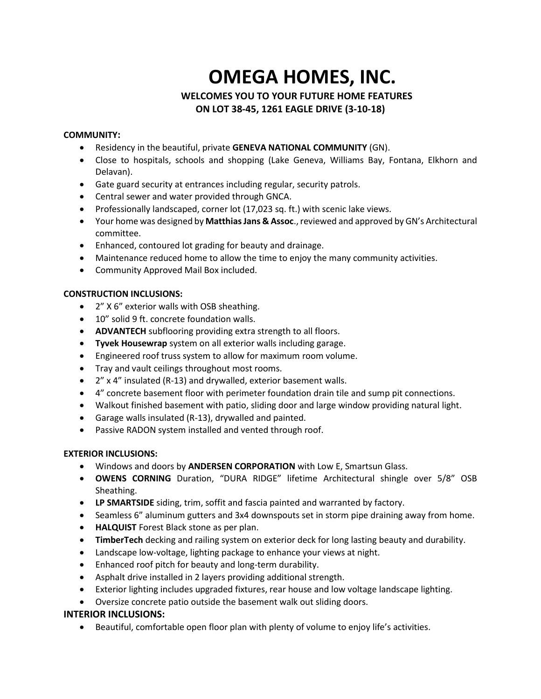# **OMEGA HOMES, INC.**

# **WELCOMES YOU TO YOUR FUTURE HOME FEATURES ON LOT 38-45, 1261 EAGLE DRIVE (3-10-18)**

#### **COMMUNITY:**

- Residency in the beautiful, private **GENEVA NATIONAL COMMUNITY** (GN).
- Close to hospitals, schools and shopping (Lake Geneva, Williams Bay, Fontana, Elkhorn and Delavan).
- Gate guard security at entrances including regular, security patrols.
- Central sewer and water provided through GNCA.
- Professionally landscaped, corner lot (17,023 sq. ft.) with scenic lake views.
- Your home was designed by Matthias Jans & Assoc., reviewed and approved by GN's Architectural committee.
- Enhanced, contoured lot grading for beauty and drainage.
- Maintenance reduced home to allow the time to enjoy the many community activities.
- Community Approved Mail Box included.

## **CONSTRUCTION INCLUSIONS:**

- 2" X 6" exterior walls with OSB sheathing.
- 10" solid 9 ft. concrete foundation walls.
- **ADVANTECH** subflooring providing extra strength to all floors.
- **Tyvek Housewrap** system on all exterior walls including garage.
- Engineered roof truss system to allow for maximum room volume.
- Tray and vault ceilings throughout most rooms.
- 2" x 4" insulated (R-13) and drywalled, exterior basement walls.
- 4" concrete basement floor with perimeter foundation drain tile and sump pit connections.
- Walkout finished basement with patio, sliding door and large window providing natural light.
- Garage walls insulated (R-13), drywalled and painted.
- Passive RADON system installed and vented through roof.

## **EXTERIOR INCLUSIONS:**

- Windows and doors by **ANDERSEN CORPORATION** with Low E, Smartsun Glass.
- **OWENS CORNING** Duration, "DURA RIDGE" lifetime Architectural shingle over 5/8" OSB Sheathing.
- **LP SMARTSIDE** siding, trim, soffit and fascia painted and warranted by factory.
- Seamless 6" aluminum gutters and 3x4 downspouts set in storm pipe draining away from home.
- **HALQUIST** Forest Black stone as per plan.
- **TimberTech** decking and railing system on exterior deck for long lasting beauty and durability.
- Landscape low-voltage, lighting package to enhance your views at night.
- Enhanced roof pitch for beauty and long-term durability.
- Asphalt drive installed in 2 layers providing additional strength.
- Exterior lighting includes upgraded fixtures, rear house and low voltage landscape lighting.
- Oversize concrete patio outside the basement walk out sliding doors.

## **INTERIOR INCLUSIONS:**

• Beautiful, comfortable open floor plan with plenty of volume to enjoy life's activities.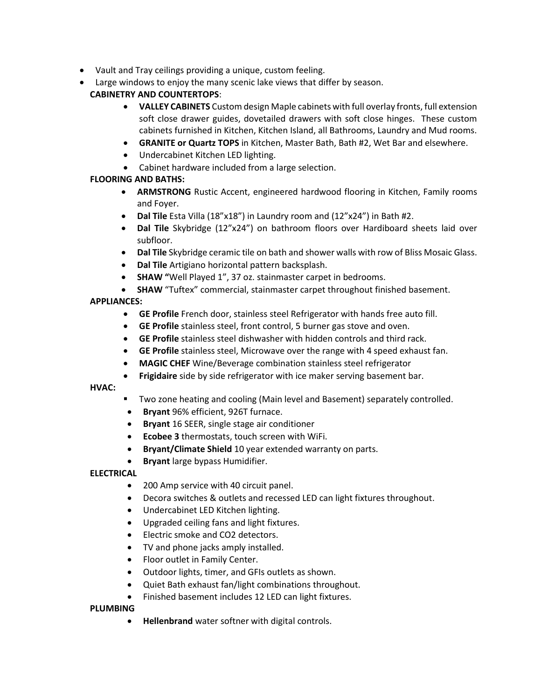- Vault and Tray ceilings providing a unique, custom feeling.
- Large windows to enjoy the many scenic lake views that differ by season.

# **CABINETRY AND COUNTERTOPS**:

- **VALLEY CABINETS** Custom design Maple cabinets with full overlay fronts, full extension soft close drawer guides, dovetailed drawers with soft close hinges. These custom cabinets furnished in Kitchen, Kitchen Island, all Bathrooms, Laundry and Mud rooms.
- **GRANITE or Quartz TOPS** in Kitchen, Master Bath, Bath #2, Wet Bar and elsewhere.
- Undercabinet Kitchen LED lighting.
- Cabinet hardware included from a large selection.

# **FLOORING AND BATHS:**

- **ARMSTRONG** Rustic Accent, engineered hardwood flooring in Kitchen, Family rooms and Foyer.
- **Dal Tile** Esta Villa (18"x18") in Laundry room and (12"x24") in Bath #2.
- **Dal Tile** Skybridge (12"x24") on bathroom floors over Hardiboard sheets laid over subfloor.
- **Dal Tile** Skybridge ceramic tile on bath and shower walls with row of Bliss Mosaic Glass.
- **Dal Tile** Artigiano horizontal pattern backsplash.
- **SHAW "**Well Played 1", 37 oz. stainmaster carpet in bedrooms.
- **SHAW** "Tuftex" commercial, stainmaster carpet throughout finished basement.

# **APPLIANCES:**

- **GE Profile** French door, stainless steel Refrigerator with hands free auto fill.
- **GE Profile** stainless steel, front control, 5 burner gas stove and oven.
- **GE Profile** stainless steel dishwasher with hidden controls and third rack.
- **GE Profile** stainless steel, Microwave over the range with 4 speed exhaust fan.
- **MAGIC CHEF** Wine/Beverage combination stainless steel refrigerator
- **Frigidaire** side by side refrigerator with ice maker serving basement bar.

# **HVAC:**

- Two zone heating and cooling (Main level and Basement) separately controlled.
- **Bryant** 96% efficient, 926T furnace.
- **Bryant** 16 SEER, single stage air conditioner
- **Ecobee 3** thermostats, touch screen with WiFi.
- **Bryant/Climate Shield** 10 year extended warranty on parts.
- **Bryant** large bypass Humidifier.

# **ELECTRICAL**

- 200 Amp service with 40 circuit panel.
- Decora switches & outlets and recessed LED can light fixtures throughout.
- Undercabinet LED Kitchen lighting.
- Upgraded ceiling fans and light fixtures.
- Electric smoke and CO2 detectors.
- TV and phone jacks amply installed.
- Floor outlet in Family Center.
- Outdoor lights, timer, and GFIs outlets as shown.
- Quiet Bath exhaust fan/light combinations throughout.
- Finished basement includes 12 LED can light fixtures.

# **PLUMBING**

• **Hellenbrand** water softner with digital controls.